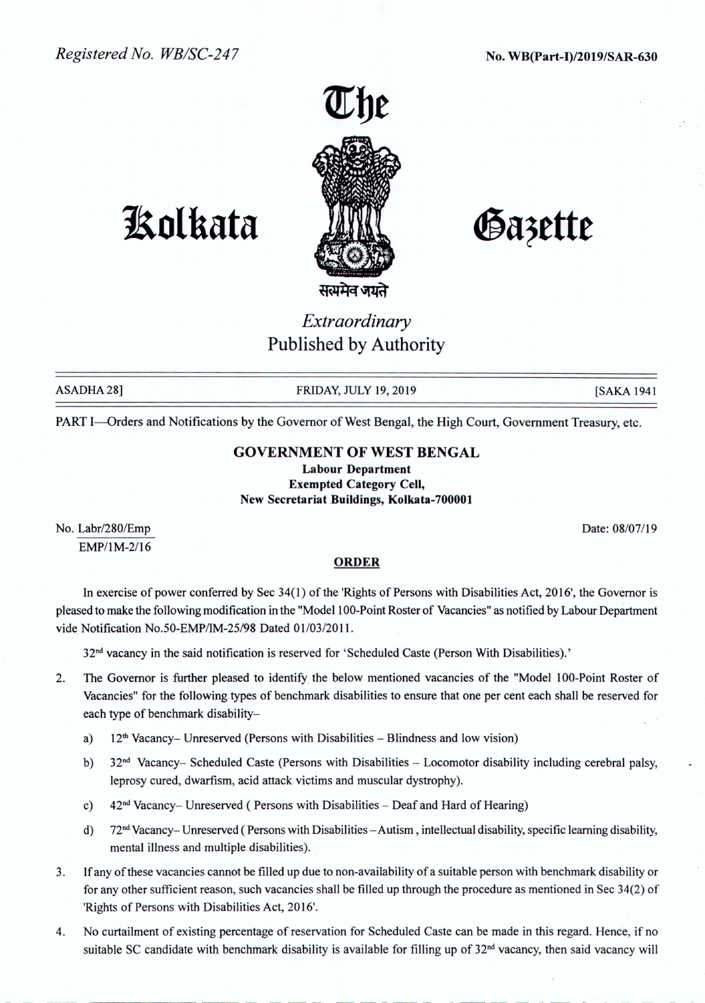

# **1!olkata**

Gazette

# *Extraordinary* Published by Authority

ASADHA 28] FRIDAY, JULY 19, 2019 [SAKA 1941

PART I-Orders and Notifications by the Governor of West Bengal, the High Court, Government Treasury, etc.

## GOVERNMENT OF WEST BENGAL

Labour Department Exempted Category Cell, New Secretariat Buildings, Kolkata-700001

No. Labr/280/Emp EMP/IM-2/16 Date: 08/07/19

### **ORDER**

In exercise of power conferred by Sec 34(1) of the 'Rights of Persons with Disabilities Act, 2016', the Governor is pleased to make the following modification in the "Model 100-Point Roster of Vacancies" as notified by Labour Department vide Notification No.50-EMP/lM-25/98 Dated 01/03/2011.

32<sup>nd</sup> vacancy in the said notification is reserved for 'Scheduled Caste (Person With Disabilities).'

- 2. The Governor is further pleased to identify the below mentioned vacancies of the "Model 100-Point Roster of Vacancies" for the following types of benchmark disabilities to ensure that one per cent each shall be reserved for each type of benchmark disability
	- a)  $12<sup>th</sup> Vacancy- Unreserved (Persons with Disabilities Blindness and low vision)$
	- b)  $32<sup>nd</sup> Vacancy- Scheduled Caste (Persons with Disabilities Locomotor disability including cerebral palsy,$ leprosy cured, dwarfism, acid attack victims and muscular dystrophy).
	- c)  $42<sup>nd</sup> Vacancy–Unreserved (Persons with Disabilities Deaf and Hard of Hearing)$
	- d)  $72<sup>nd</sup> Vacancy–Unreserved (Persons with Disabilities Autism, intellectual disability, specific learning disability,$ mental illness and multiple disabilities).
- 3. If any of these vacancies cannot be filled up due to non-availability ofa suitable person with benchmark disability or for any other sufficient reason, such vacancies shall be filled up through the procedure as mentioned in Sec 34(2) of 'Rights of Persons with Disabilities Act, 2016'.
- 4. No curtailment of existing percentage of reservation for Scheduled Caste can be made in this regard. Hence, if no suitable SC candidate with benchmark disability is available for filling up of  $32<sup>nd</sup>$  vacancy, then said vacancy will

----------- --- ------ ----- - -- -